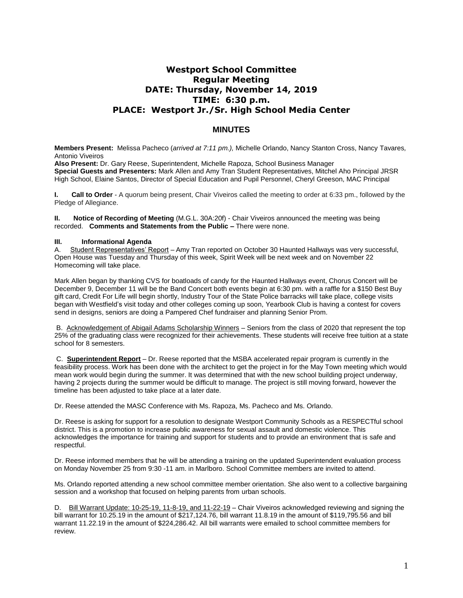# **Westport School Committee Regular Meeting DATE: Thursday, November 14, 2019 TIME: 6:30 p.m. PLACE: Westport Jr./Sr. High School Media Center**

# **MINUTES**

**Members Present:** Melissa Pacheco (*arrived at 7:11 pm.),* Michelle Orlando, Nancy Stanton Cross, Nancy Tavares*,*  Antonio Viveiros

**Also Present:** Dr. Gary Reese, Superintendent, Michelle Rapoza, School Business Manager **Special Guests and Presenters:** Mark Allen and Amy Tran Student Representatives, Mitchel Aho Principal JRSR High School, Elaine Santos, Director of Special Education and Pupil Personnel, Cheryl Greeson, MAC Principal

**I. Call to Order** - A quorum being present, Chair Viveiros called the meeting to order at 6:33 pm., followed by the Pledge of Allegiance.

**II. Notice of Recording of Meeting** (M.G.L. 30A:20f) - Chair Viveiros announced the meeting was being recorded. **Comments and Statements from the Public –** There were none.

## **III. Informational Agenda**

A. Student Representatives' Report – Amy Tran reported on October 30 Haunted Hallways was very successful, Open House was Tuesday and Thursday of this week, Spirit Week will be next week and on November 22 Homecoming will take place.

Mark Allen began by thanking CVS for boatloads of candy for the Haunted Hallways event, Chorus Concert will be December 9, December 11 will be the Band Concert both events begin at 6:30 pm. with a raffle for a \$150 Best Buy gift card, Credit For Life will begin shortly, Industry Tour of the State Police barracks will take place, college visits began with Westfield's visit today and other colleges coming up soon, Yearbook Club is having a contest for covers send in designs, seniors are doing a Pampered Chef fundraiser and planning Senior Prom.

B. Acknowledgement of Abigail Adams Scholarship Winners – Seniors from the class of 2020 that represent the top 25% of the graduating class were recognized for their achievements. These students will receive free tuition at a state school for 8 semesters.

C. **Superintendent Report** – Dr. Reese reported that the MSBA accelerated repair program is currently in the feasibility process. Work has been done with the architect to get the project in for the May Town meeting which would mean work would begin during the summer. It was determined that with the new school building project underway, having 2 projects during the summer would be difficult to manage. The project is still moving forward, however the timeline has been adjusted to take place at a later date.

Dr. Reese attended the MASC Conference with Ms. Rapoza, Ms. Pacheco and Ms. Orlando.

Dr. Reese is asking for support for a resolution to designate Westport Community Schools as a RESPECTful school district. This is a promotion to increase public awareness for sexual assault and domestic violence. This acknowledges the importance for training and support for students and to provide an environment that is safe and respectful.

Dr. Reese informed members that he will be attending a training on the updated Superintendent evaluation process on Monday November 25 from 9:30 -11 am. in Marlboro. School Committee members are invited to attend.

Ms. Orlando reported attending a new school committee member orientation. She also went to a collective bargaining session and a workshop that focused on helping parents from urban schools.

D. Bill Warrant Update: 10-25-19, 11-8-19, and 11-22-19 – Chair Viveiros acknowledged reviewing and signing the bill warrant for 10.25.19 in the amount of \$217,124.76, bill warrant 11.8.19 in the amount of \$119,795.56 and bill warrant 11.22.19 in the amount of \$224,286.42. All bill warrants were emailed to school committee members for review.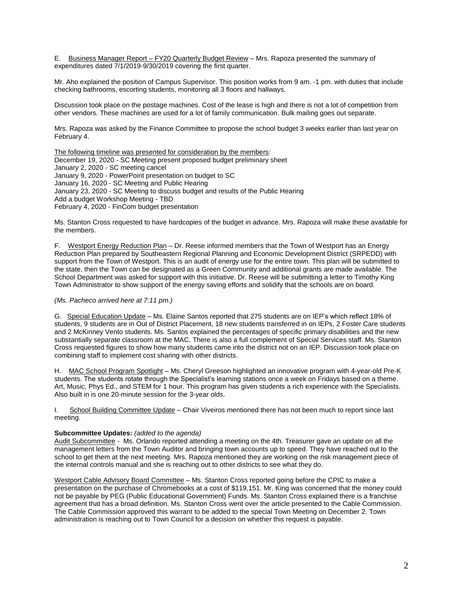E. Business Manager Report – FY20 Quarterly Budget Review – Mrs. Rapoza presented the summary of expenditures dated 7/1/2019-9/30/2019 covering the first quarter.

Mr. Aho explained the position of Campus Supervisor. This position works from 9 am. -1 pm. with duties that include checking bathrooms, escorting students, monitoring all 3 floors and hallways.

Discussion took place on the postage machines. Cost of the lease is high and there is not a lot of competition from other vendors. These machines are used for a lot of family communication. Bulk mailing goes out separate.

Mrs. Rapoza was asked by the Finance Committee to propose the school budget 3 weeks earlier than last year on February 4.

The following timeline was presented for consideration by the members: December 19, 2020 - SC Meeting present proposed budget preliminary sheet January 2, 2020 - SC meeting cancel January 9, 2020 - PowerPoint presentation on budget to SC January 16, 2020 - SC Meeting and Public Hearing January 23, 2020 - SC Meeting to discuss budget and results of the Public Hearing Add a budget Workshop Meeting - TBD February 4, 2020 - FinCom budget presentation

Ms. Stanton Cross requested to have hardcopies of the budget in advance. Mrs. Rapoza will make these available for the members.

F. Westport Energy Reduction Plan – Dr. Reese informed members that the Town of Westport has an Energy Reduction Plan prepared by Southeastern Regional Planning and Economic Development District (SRPEDD) with support from the Town of Westport. This is an audit of energy use for the entire town. This plan will be submitted to the state, then the Town can be designated as a Green Community and additional grants are made available. The School Department was asked for support with this initiative. Dr. Reese will be submitting a letter to Timothy King Town Administrator to show support of the energy saving efforts and solidify that the schools are on board.

#### *(Ms. Pacheco arrived here at 7:11 pm.)*

G. Special Education Update – Ms. Elaine Santos reported that 275 students are on IEP's which reflect 18% of students, 9 students are in Out of District Placement, 18 new students transferred in on IEPs, 2 Foster Care students and 2 McKinney Vento students. Ms. Santos explained the percentages of specific primary disabilities and the new substantially separate classroom at the MAC. There is also a full complement of Special Services staff. Ms. Stanton Cross requested figures to show how many students came into the district not on an IEP. Discussion took place on combining staff to implement cost sharing with other districts.

H. MAC School Program Spotlight – Ms. Cheryl Greeson highlighted an innovative program with 4-year-old Pre-K students. The students rotate through the Specialist's learning stations once a week on Fridays based on a theme. Art, Music, Phys Ed., and STEM for 1 hour. This program has given students a rich experience with the Specialists. Also built in is one 20-minute session for the 3-year olds.

I. School Building Committee Update - Chair Viveiros mentioned there has not been much to report since last meeting.

#### **Subcommittee Updates:** *(added to the agenda)*

Audit Subcommittee - Ms. Orlando reported attending a meeting on the 4th. Treasurer gave an update on all the management letters from the Town Auditor and bringing town accounts up to speed. They have reached out to the school to get them at the next meeting. Mrs. Rapoza mentioned they are working on the risk management piece of the internal controls manual and she is reaching out to other districts to see what they do.

Westport Cable Advisory Board Committee – Ms. Stanton Cross reported going before the CPIC to make a presentation on the purchase of Chromebooks at a cost of \$119,151. Mr. King was concerned that the money could not be payable by PEG (Public Educational Government) Funds. Ms. Stanton Cross explained there is a franchise agreement that has a broad definition. Ms. Stanton Cross went over the article presented to the Cable Commission. The Cable Commission approved this warrant to be added to the special Town Meeting on December 2. Town administration is reaching out to Town Council for a decision on whether this request is payable.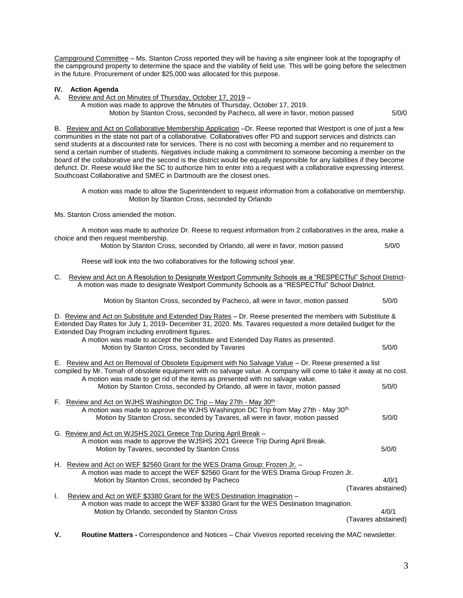Campground Committee – Ms. Stanton Cross reported they will be having a site engineer look at the topography of the campground property to determine the space and the viability of field use. This will be going before the selectmen in the future. Procurement of under \$25,000 was allocated for this purpose.

# **IV. Action Agenda**

A. Review and Act on Minutes of Thursday, October 17, 2019 –

 A motion was made to approve the Minutes of Thursday, October 17, 2019. Motion by Stanton Cross, seconded by Pacheco, all were in favor, motion passed 5/0/0

B. Review and Act on Collaborative Membership Application -Dr. Reese reported that Westport is one of just a few communities in the state not part of a collaborative. Collaboratives offer PD and support services and districts can send students at a discounted rate for services. There is no cost with becoming a member and no requirement to send a certain number of students. Negatives include making a commitment to someone becoming a member on the board of the collaborative and the second is the district would be equally responsible for any liabilities if they become defunct. Dr. Reese would like the SC to authorize him to enter into a request with a collaborative expressing interest. Southcoast Collaborative and SMEC in Dartmouth are the closest ones.

A motion was made to allow the Superintendent to request information from a collaborative on membership. Motion by Stanton Cross, seconded by Orlando

Ms. Stanton Cross amended the motion.

A motion was made to authorize Dr. Reese to request information from 2 collaboratives in the area, make a choice and then request membership.

Motion by Stanton Cross, seconded by Orlando, all were in favor, motion passed 5/0/0

Reese will look into the two collaboratives for the following school year.

C. Review and Act on A Resolution to Designate Westport Community Schools as a "RESPECTful" School District- A motion was made to designate Westport Community Schools as a "RESPECTful" School District.

Motion by Stanton Cross, seconded by Pacheco, all were in favor, motion passed 5/0/0

D. Review and Act on Substitute and Extended Day Rates - Dr. Reese presented the members with Substitute & Extended Day Rates for July 1, 2019- December 31, 2020. Ms. Tavares requested a more detailed budget for the Extended Day Program including enrollment figures. A motion was made to accept the Substitute and Extended Day Rates as presented. Motion by Stanton Cross, seconded by Tavares 6/0/0 and the state for the state  $5/0/0$ E. Review and Act on Removal of Obsolete Equipment with No Salvage Value – Dr. Reese presented a list compiled by Mr. Tomah of obsolete equipment with no salvage value. A company will come to take it away at no cost. A motion was made to get rid of the items as presented with no salvage value. Motion by Stanton Cross, seconded by Orlando, all were in favor, motion passed  $5/0/0$ F. Review and Act on WJHS Washington DC Trip – May 27th - May 30<sup>th -</sup> A motion was made to approve the WJHS Washington DC Trip from May 27th - May 30th. Motion by Stanton Cross, seconded by Tavares, all were in favor, motion passed 5/0/0 G. Review and Act on WJSHS 2021 Greece Trip During April Break – A motion was made to approve the WJSHS 2021 Greece Trip During April Break. Motion by Tavares, seconded by Stanton Cross 6/0/0 H. Review and Act on WEF \$2560 Grant for the WES Drama Group: Frozen Jr. – A motion was made to accept the WEF \$2560 Grant for the WES Drama Group Frozen Jr. Motion by Stanton Cross, seconded by Pacheco 4/0/1 (Tavares abstained) I. Review and Act on WEF \$3380 Grant for the WES Destination Imagination – A motion was made to accept the WEF \$3380 Grant for the WES Destination Imagination. Motion by Orlando, seconded by Stanton Cross 4/0/1 (Tavares abstained)

**V. Routine Matters -** Correspondence and Notices – Chair Viveiros reported receiving the MAC newsletter.